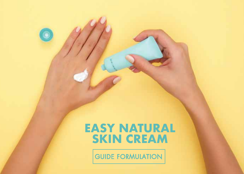

# **EASY NATURAL SKIN CREAM**

**GUIDE FORMULATION**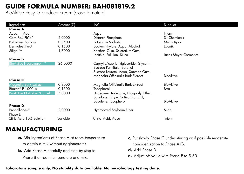## **GUIDE FORMULA NUMBER: BAH081819.2**

BioAktive Easy to produce cream (close to nature)

| Ingredients                          | Amount (%) | <b>INCI</b>                             | Supplier                     |
|--------------------------------------|------------|-----------------------------------------|------------------------------|
| <b>Phase A</b>                       |            |                                         |                              |
| Add.<br>Aqua                         |            | Aqua                                    | Intern                       |
| Corn Po4 Ph"b"                       | 2,0000     | Distarch Phosphate                      | Sli Chemicals                |
| Potassium Sorbate                    | 0,3500     | Potassium Sorbate                       | Merck Kgaa                   |
| Dermofeel Pa-3                       | 0,1500     | Sodium Phytate, Aqua, Alcohol           | Evonik                       |
| Siligel <sup>Tm</sup>                | 1,7000     | Xanthan Gum, Sclerotium Gum,            |                              |
|                                      |            | Lecithin, Pullulan, Silica              | <b>Lucas Meyer Cosmetics</b> |
| <b>Phase B</b>                       |            |                                         |                              |
| <b>BioAktive Hydramaxx I™</b>        | 26,0000    | Caprylic/capric Triglyceride, Glycerin, |                              |
|                                      |            | Sucrose Palmitate, Sorbitol.            |                              |
|                                      |            | Sucrose Laurate, Aqua, Xanthan Gum,     |                              |
|                                      |            | Magnolia Officinalis Bark Extract       | <b>BioAktive</b>             |
| <b>Phase C</b>                       |            |                                         |                              |
| Magnolia Bark Extract                | 0,3000     | Magnolia Officinalis Bark Extract       | <b>BioAktive</b>             |
| Bioxan® E 1000 lu                    | 0,1500     | Tocopherol                              | Btsa                         |
| <b>BioAktive Natralite™ Camellia</b> | 7,0000     | Undecane, Tridecane, Dicaprylyl Ether,  |                              |
|                                      |            | Squalane, Oryza Sativa Bran Oil,        |                              |
|                                      |            | Squalene, Tocopherol                    | <b>BioAktive</b>             |
| <b>Phase D</b>                       |            |                                         |                              |
| Pro-coll-one+®                       | 2,0000     | Hydrolyzed Soybean Fiber                | Silab                        |
| Phase E                              |            |                                         |                              |
| Citric Acid 10% Solution             | Variable   | Citric Acid, Aqua                       | Intern                       |
|                                      |            |                                         |                              |

### **MANUFACTURING**

- **a.** Mix ingredients of Phase A at room temperature to obtain a mix without agglomerates.
- **b.** Add Phase A carefully and step by step to Phase B at room temperature and mix.
- **c.** Put slowly Phase C under stirring or if possible moderate homogenization to Phase A/B.
- **d.** Add Phase D.
- **e.** Adjust pH-value with Phase E to 5.50.

#### **Laboratory sample only. No stability data available. No microbiology testing done.**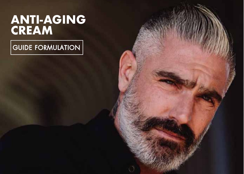# **ANTI-AGING CREAM**

 $|$ GUIDE FORMULATION $|$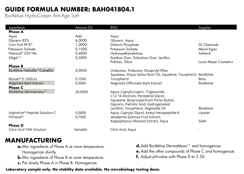# **GUIDE FORMULA NUMBER: BAH041804.1**

BioAktive HydroCream Anti-Age Soft

| Ingredients                      | Amount (%) | <b>INCI</b>                                           | Supplier                     |
|----------------------------------|------------|-------------------------------------------------------|------------------------------|
| <b>Phase A</b>                   |            |                                                       |                              |
| Aqua                             | Add.       | Aqua                                                  |                              |
| Glycerin 85%                     | 4,0000     | Glycerin, Aqua                                        |                              |
| Corn Po4 Ph"b"                   | 1,0000     | Distarch Phosphate                                    | Sli Chemicals                |
| Potassium Sorbate                | 0,1500     | Potassium Sorbate                                     | Merck Kgaa                   |
| Natrosol® 250 Hhr                | 0,4000     | Hydroxyethylcellulose                                 | Ashland                      |
| Siligel <sup>Tm</sup>            | 0,5000     | Xanthan Gum, Sclerotium Gum, Lecithin,                |                              |
|                                  |            | Pullulan, Silica                                      | <b>Lucas Meyer Cosmetics</b> |
| <b>Phase B</b>                   |            |                                                       |                              |
| BioAktive Natralite™Camellia     | 4,0000     | Undecane, Tridecane, Dicaprylyl Ether,                |                              |
|                                  |            | Squalane, Oryza Sativa Bran Oil, Squalene, Tocopherol | BioAktive                    |
| Bioxan <sup>®</sup> E 1000 lu    | 0,1500     | Tocopherol                                            | <b>Btsa</b>                  |
| Magnolia Bark Extract            | 0,3000     | Magnolia Officinalis Bark Extract                     | <b>BioAktive</b>             |
| <b>Phase C</b>                   |            |                                                       |                              |
| BioAktive Dermamaxx <sup>™</sup> | 28,0000    | Aqua, Caprylic/capric, Triglyceride,                  |                              |
|                                  |            | C12-16 Alcohols, Pentylene Glycol,                    |                              |
|                                  |            | Squalane, Butyrospermum Parkii Butter,                |                              |
|                                  |            | Glycerin, Palmitic Acid, Hydrogenated                 |                              |
|                                  |            | Lecithin, Tocopherol, Vegetable Oil                   | <b>Bioaktive</b>             |
| Argireline® Peptide Solution C   | 5,0000     | Aqua, Caprylyl Glycol, Acetyl Hexapeptide-8           | Lipotec                      |
| Filmexel <sup>®</sup>            | 0,7500     | aesalpinia Spinosa Fruit Extract,                     |                              |
|                                  |            | Kappaphycus Alvarezii Extract, Aqua                   | Silab                        |
| <b>Phase D</b>                   |            |                                                       |                              |
| Citric Acid 10% Solution         | Variable   | Citric Acid, Aqua                                     |                              |

### **MANUFACTURING**

- **a.** Mix ingredients of Phase A at room temperature. Homogenize shortly.
- **b.** Mix ingredients of Phase B at room temperature.
- **c.** Put slowly Phase A in Phase B. Homogenize.
- **d.** Add BioAktive DermaMaxx™ and homogenize.
- **e.** Add the other compounds of Phase C and homogenize.
- **f.** Adjust pH-value with Phase D to 5.50.

**Laboratory sample only. No stability data available. No microbiology testing done.**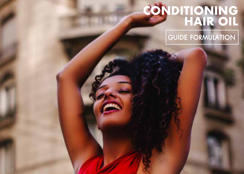# **CONDITIONING HAIR OIL**

GUIDE FORMULATION